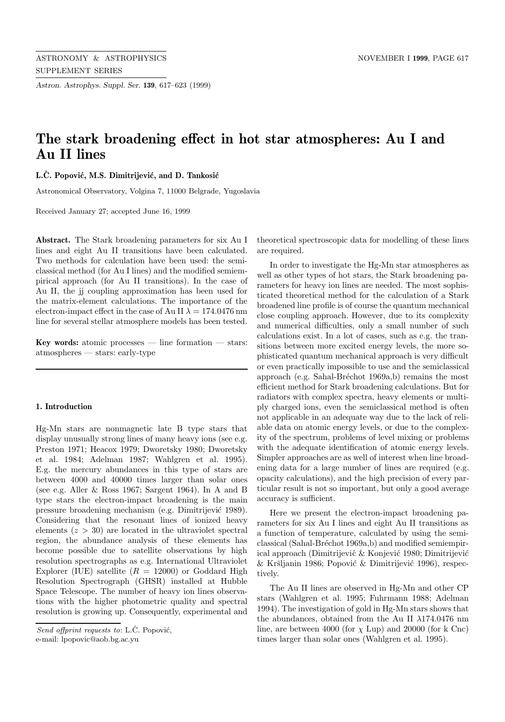*Astron. Astrophys. Suppl. Ser.* **139**, 617–623 (1999)

## **The stark broadening effect in hot star atmospheres: Au I and Au II lines**

**L.C. Popović, M.S. Dimitrijević, and D. Tankosić** 

Astronomical Observatory, Volgina 7, 11000 Belgrade, Yugoslavia

Received January 27; accepted June 16, 1999

**Abstract.** The Stark broadening parameters for six Au I lines and eight Au II transitions have been calculated. Two methods for calculation have been used: the semiclassical method (for Au I lines) and the modified semiempirical approach (for Au II transitions). In the case of Au II, the jj coupling approximation has been used for the matrix-element calculations. The importance of the electron-impact effect in the case of Au II  $\lambda = 174.0476$  nm line for several stellar atmosphere models has been tested.

**Key words:** atomic processes — line formation — stars: atmospheres — stars: early-type

## **1. Introduction**

Hg-Mn stars are nonmagnetic late B type stars that display unusually strong lines of many heavy ions (see e.g. Preston 1971; Heacox 1979; Dworetsky 1980; Dworetsky et al. 1984; Adelman 1987; Wahlgren et al. 1995). E.g. the mercury abundances in this type of stars are between 4000 and 40000 times larger than solar ones (see e.g. Aller & Ross 1967; Sargent 1964). In A and B type stars the electron-impact broadening is the main pressure broadening mechanism (e.g. Dimitrijević 1989). Considering that the resonant lines of ionized heavy elements  $(z > 30)$  are located in the ultraviolet spectral region, the abundance analysis of these elements has become possible due to satellite observations by high resolution spectrographs as e.g. International Ultraviolet Explorer (IUE) satellite  $(R = 12000)$  or Goddard High Resolution Spectrograph (GHSR) installed at Hubble Space Telescope. The number of heavy ion lines observations with the higher photometric quality and spectral resolution is growing up. Consequently, experimental and

e-mail: lpopovic@aob.bg.ac.yu

theoretical spectroscopic data for modelling of these lines are required.

In order to investigate the Hg-Mn star atmospheres as well as other types of hot stars, the Stark broadening parameters for heavy ion lines are needed. The most sophisticated theoretical method for the calculation of a Stark broadened line profile is of course the quantum mechanical close coupling approach. However, due to its complexity and numerical difficulties, only a small number of such calculations exist. In a lot of cases, such as e.g. the transitions between more excited energy levels, the more sophisticated quantum mechanical approach is very difficult or even practically impossible to use and the semiclassical approach (e.g. Sahal-Bréchot 1969a,b) remains the most efficient method for Stark broadening calculations. But for radiators with complex spectra, heavy elements or multiply charged ions, even the semiclassical method is often not applicable in an adequate way due to the lack of reliable data on atomic energy levels, or due to the complexity of the spectrum, problems of level mixing or problems with the adequate identification of atomic energy levels. Simpler approaches are as well of interest when line broadening data for a large number of lines are required (e.g. opacity calculations), and the high precision of every particular result is not so important, but only a good average accuracy is sufficient.

Here we present the electron-impact broadening parameters for six Au I lines and eight Au II transitions as a function of temperature, calculated by using the semiclassical (Sahal-Bréchot 1969a,b) and modified semiempirical approach (Dimitrijević & Konjević 1980; Dimitrijević & Kršljanin 1986; Popović & Dimitrijević 1996), respectively.

The Au II lines are observed in Hg-Mn and other CP stars (Wahlgren et al. 1995; Fuhrmann 1988; Adelman 1994). The investigation of gold in Hg-Mn stars shows that the abundances, obtained from the Au II  $\lambda$ 174.0476 nm line, are between 4000 (for  $\chi$  Lup) and 20000 (for k Cnc) times larger than solar ones (Wahlgren et al. 1995).

Send offprint requests to: L.C. Popović,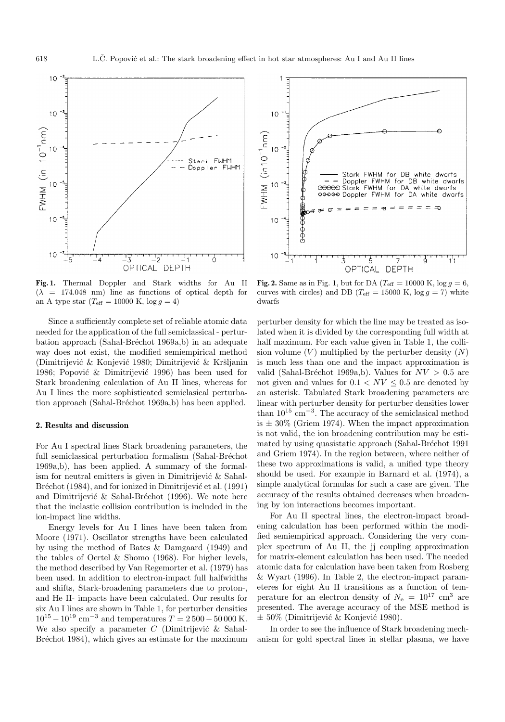

**Fig. 1.** Thermal Doppler and Stark widths for Au II  $(\lambda = 174.048$  nm) line as functions of optical depth for an A type star ( $T_{\text{eff}} = 10000 \text{ K}$ ,  $\log g = 4$ )

Since a sufficiently complete set of reliable atomic data needed for the application of the full semiclassical - perturbation approach (Sahal-Bréchot 1969a,b) in an adequate way does not exist, the modified semiempirical method (Dimitrijević & Konjević 1980; Dimitrijević & Kršljanin 1986; Popović  $\&$  Dimitrijević 1996) has been used for Stark broadening calculation of Au II lines, whereas for Au I lines the more sophisticated semiclasical perturbation approach (Sahal-Bréchot 1969a,b) has been applied.

## **2. Results and discussion**

For Au I spectral lines Stark broadening parameters, the full semiclassical perturbation formalism (Sahal-Bréchot 1969a,b), has been applied. A summary of the formalism for neutral emitters is given in Dimitrijević  $\&$  Sahal-Bréchot (1984), and for ionized in Dimitrijević et al. (1991) and Dimitrijević & Sahal-Bréchot (1996). We note here that the inelastic collision contribution is included in the ion-impact line widths.

Energy levels for Au I lines have been taken from Moore (1971). Oscillator strengths have been calculated by using the method of Bates & Damgaard (1949) and the tables of Oertel & Shomo (1968). For higher levels, the method described by Van Regemorter et al. (1979) has been used. In addition to electron-impact full halfwidths and shifts, Stark-broadening parameters due to proton-, and He II- impacts have been calculated. Our results for six Au I lines are shown in Table 1, for perturber densities  $10^{15} - 10^{19}$  cm<sup>-3</sup> and temperatures  $T = 2500 - 50000$  K. We also specify a parameter  $C$  (Dimitrijević  $\&$  Sahal-Bréchot 1984), which gives an estimate for the maximum



**Fig. 2.** Same as in Fig. 1, but for DA ( $T_{\text{eff}} = 10000 \text{ K}$ ,  $\log g = 6$ , curves with circles) and DB ( $T_{\text{eff}} = 15000 \text{ K}$ ,  $\log g = 7$ ) white dwarfs

perturber density for which the line may be treated as isolated when it is divided by the corresponding full width at half maximum. For each value given in Table 1, the collision volume  $(V)$  multiplied by the perturber density  $(N)$ is much less than one and the impact approximation is valid (Sahal-Bréchot 1969a,b). Values for  $NV > 0.5$  are not given and values for  $0.1 < NV < 0.5$  are denoted by an asterisk. Tabulated Stark broadening parameters are linear with perturber density for perturber densities lower than  $10^{15}$  cm<sup>-3</sup>. The accuracy of the semiclasical method is  $\pm 30\%$  (Griem 1974). When the impact approximation is not valid, the ion broadening contribution may be estimated by using quasistatic approach (Sahal-Bréchot 1991) and Griem 1974). In the region between, where neither of these two approximations is valid, a unified type theory should be used. For example in Barnard et al. (1974), a simple analytical formulas for such a case are given. The accuracy of the results obtained decreases when broadening by ion interactions becomes important.

For Au II spectral lines, the electron-impact broadening calculation has been performed within the modified semiempirical approach. Considering the very complex spectrum of Au II, the jj coupling approximation for matrix-element calculation has been used. The needed atomic data for calculation have been taken from Rosberg & Wyart (1996). In Table 2, the electron-impact parameteres for eight Au II transitions as a function of temperature for an electron density of  $N_e = 10^{17}$  cm<sup>3</sup> are presented. The average accuracy of the MSE method is  $\pm$  50% (Dimitrijević & Konjević 1980).

In order to see the influence of Stark broadening mechanism for gold spectral lines in stellar plasma, we have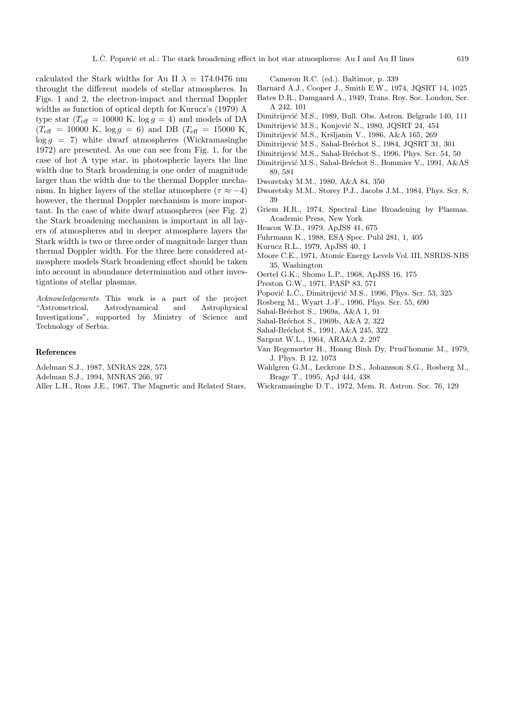calculated the Stark widths for Au II  $\lambda = 174.0476$  nm throught the different models of stellar atmospheres. In Figs. 1 and 2, the electron-impact and thermal Doppler widths as function of optical depth for Kurucz's (1979) A type star ( $T_{\text{eff}} = 10000 \text{ K}$ ,  $\log g = 4$ ) and models of DA  $(T_{\text{eff}} = 10000 \text{ K}, \log g = 6)$  and DB  $(T_{\text{eff}} = 15000 \text{ K},$  $\log g = 7$ ) white dwarf atmospheres (Wickramasinghe 1972) are presented. As one can see from Fig. 1, for the case of hot A type star, in photospheric layers the line width due to Stark broadening is one order of magnitude larger than the width due to the thermal Doppler mechanism. In higher layers of the stellar atmosphere ( $\tau \approx -4$ ) however, the thermal Doppler mechanism is more important. In the case of white dwarf atmospheres (see Fig. 2) the Stark broadening mechanism is important in all layers of atmospheres and in deeper atmosphere layers the Stark width is two or three order of magnitude larger than thermal Doppler width. For the three here considered atmosphere models Stark broadening effect should be taken into account in abundance determination and other investigations of stellar plasmas.

Acknowledgements. This work is a part of the project "Astrometrical, Astrodynamical and Astrophysical Investigations", supported by Ministry of Science and Technology of Serbia.

## **References**

- Adelman S.J., 1987, MNRAS 228, 573
- Adelman S.J., 1994, MNRAS 266, 97
- Aller L.H., Ross J.E., 1967, The Magnetic and Related Stars,

Cameron R.C. (ed.). Baltimor, p. 339

- Barnard A.J., Cooper J., Smith E.W., 1974, JQSRT 14, 1025
- Bates D.R., Damgaard A., 1949, Trans. Roy. Soc. London, Ser. A 242, 101
- Dimitrijević M.S., 1989, Bull. Obs. Astron. Belgrade 140, 111
- Dimitrijević M.S., Konjević N., 1980, JQSRT 24, 454
- Dimitrijević M.S., Kršljanin V., 1986, A&A 165, 269
- Dimitrijević M.S., Sahal-Bréchot S., 1984, JQSRT 31, 301
- Dimitrijević M.S., Sahal-Bréchot S., 1996, Phys. Scr. 54, 50
- Dimitrijević M.S., Sahal-Bréchot S., Bommier V., 1991, A&AS 89, 581
- Dworetsky M.M., 1980, A&A 84, 350
- Dworetsky M.M., Storey P.J., Jacobs J.M., 1984, Phys. Scr. 8, 39
- Griem H.R., 1974, Spectral Line Broadening by Plasmas. Academic Press, New York
- Heacox W.D., 1979, ApJSS 41, 675
- Fuhrmann K., 1988, ESA Spec. Publ 281, 1, 405
- Kurucz R.L., 1979, ApJSS 40, 1
- Moore C.E., 1971, Atomic Energy Levels Vol. III, NSRDS-NBS 35, Washington
- Oertel G.K., Shomo L.P., 1968, ApJSS 16, 175
- Preston G.W., 1971, PASP 83, 571
- Popović L.Č., Dimitrijević M.S., 1996, Phys. Scr. 53, 325
- Rosberg M., Wyart J.-F., 1996, Phys. Scr. 55, 690
- Sahal-Bréchot S., 1969a, A&A 1, 91
- Sahal-Bréchot S., 1969b, A&A 2, 322
- Sahal-Bréchot S., 1991, A&A 245, 322
- Sargent W.L., 1964, ARA&A 2, 297
- Van Regemorter H., Hoang Binh Dy, Prud'homme M., 1979, J. Phys. B 12, 1073
- Wahlgren G.M., Leckrone D.S., Johansson S.G., Rosberg M., Brage T., 1995, ApJ 444, 438
- Wickramasinghe D.T., 1972, Mem. R. Astron. Soc. 76, 129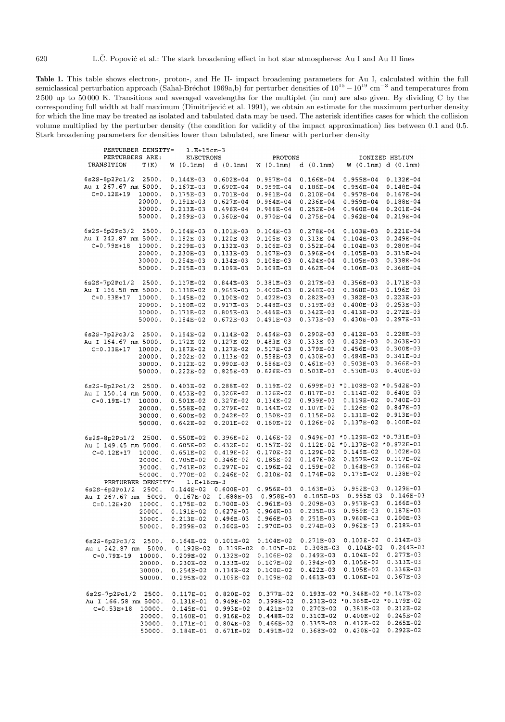**Table 1.** This table shows electron-, proton-, and He II- impact broadening parameters for Au I, calculated within the full semiclassical perturbation approach (Sahal-Bréchot 1969a,b) for perturber densities of  $10^{15} - 10^{19}$  cm<sup>-3</sup> and temperatures from 2 500 up to 50 000 K. Transitions and averaged wavelengths for the multiplet (in nm) are also given. By dividing C by the corresponding full width at half maximum (Dimitrijević et al. 1991), we obtain an estimate for the maximum perturber density for which the line may be treated as isolated and tabulated data may be used. The asterisk identifies cases for which the collision volume multiplied by the perturber density (the condition for validity of the impact approximation) lies between 0.1 and 0.5. Stark broadening parameters for densities lower than tabulated, are linear with perturber density

| PERTURBER DENSITY=         | $1.E+15cm-3$     |               |               |               |                                     |                |
|----------------------------|------------------|---------------|---------------|---------------|-------------------------------------|----------------|
| PERTURBERS ARE:            | <b>ELECTRONS</b> |               | PROTONS       |               |                                     | IONIZED HELIUM |
| T(K)<br>TRANSITION         | W(0.1nm)         | d(0.1nm)      | W(0.1nm)      | d(0.1nm)      | W(0.1nm) d(0.1nm)                   |                |
|                            |                  |               |               |               |                                     |                |
| $6s2S-6p2Po1/2$<br>2500.   | $0.144E-03$      | $0.602E - 04$ | $0.957E - 04$ | $0.166E - 04$ | $0.955E-04$                         | $0.132E-04$    |
| Au I 267.67 nm 5000.       | $0.167E-03$      | $0.690E - 04$ | $0.959E-04$   | $0.186E - 04$ | $0.956E-04$                         | $0.148E - 04$  |
| $C = 0.12E + 19$<br>10000. | $0.175E-03$      | 0.701E-04     | $0.961E-04$   | $0.210E-04$   | $0.957E-04$                         | $0.167E-04$    |
| 20000.                     | $0.191E-03$      | $0.627E - 04$ | $0.964E-04$   | $0.236E-04$   | $0.959E-04$                         | $0.188E - 04$  |
| 30000.                     | $0.213E-03$      | 0.496E-04     | $0.966E - 04$ | $0.252E - 04$ | $0.960E-04$                         | $0.201E - 04$  |
| 50000.                     | $0.259E - 03$    | $0.360E - 04$ | $0.970E - 04$ | $0.275E - 04$ | $0.962E - 04$                       | $0.219E-04$    |
|                            |                  |               |               |               |                                     |                |
| $6s2S-6p2Po3/2$<br>2500.   | $0.164E-03$      | $0.101E-03$   | $0.104E-03$   | $0.278E - 04$ | $0.103E-03$                         | $0.221E - 04$  |
| Au I 242.87 nm 5000.       | $0.192E-03$      | $0.120E-03$   | $0.105E-03$   | $0.313E-04$   | $0.104E-03$                         | $0.249E - 04$  |
| $C = 0.79E + 18$           |                  |               | $0.106E-03$   |               |                                     |                |
| 10000.                     | $0.209E-03$      | $0.132E-03$   |               | $0.352E-04$   | $0.104E-03$                         | $0.280E - 04$  |
| 20000.                     | $0.230E-03$      | $0.133E-03$   | $0.107E-03$   | $0.396E - 04$ | $0.105E - 03$                       | $0.315E-04$    |
| 30000.                     | $0.254E-03$      | $0.134E-03$   | $0.108E-03$   | $0.424E - 04$ | $0.105E - 03$                       | 0.338E-04      |
| 50000.                     | $0.295E-03$      | $0.109E-03$   | $0.109E-03$   | $0.462E-04$   | $0.106E-03$                         | $0.368E-04$    |
|                            |                  |               |               |               |                                     |                |
| 6s2S-7p2Po1/2<br>2500.     | $0.117E-02$      | $0.844E-03$   | $0.381E-03$   | $0.217E-03$   | $0.356E - 03$                       | $0.171E-03$    |
| Au I 166.58 nm 5000.       | $0.131E-02$      | $0.965E - 03$ | $0.400E - 03$ | $0.248E-03$   | $0.368E - 03$                       | $0.196E-03$    |
| $C = 0.53E + 17$<br>10000. | $0.145E-02$      | $0.100E-02$   | $0.422E-03$   | $0.282E - 03$ | $0.382E - 03$                       | $0.223E - 03$  |
| 20000.                     | $0.160E-02$      | $0.917E-03$   | $0.448E-03$   | $0.319E-03$   | $0.400E - 03$                       | $0.253E - 03$  |
| 30000.                     | 0.171E-02        | $0.805E-03$   | $0.466E - 03$ | $0.342E - 03$ | $0.413E-03$                         | $0.272E-03$    |
| 50000.                     | $0.184E-02$      | $0.672E-03$   | $0.491E-03$   | $0.373E - 03$ | $0.430E - 03$                       | $0.297E-03$    |
|                            |                  |               |               |               |                                     |                |
| $6s2S-7p2Po3/2$<br>2500.   | $0.154E-02$      | $0.114E-02$   | $0.454E-03$   | $0.290E - 03$ | $0.412E-03$                         | $0.228E-03$    |
| Au I 164.67 nm 5000.       | $0.172E-02$      | $0.127E-02$   | $0.483E-03$   | $0.333E-03$   | $0.432E-03$                         | $0.263E-03$    |
| $C = 0.33E + 17$<br>10000. | $0.187E-02$      | $0.127E-02$   | $0.517E-03$   | $0.379E-03$   | $0.456E - 03$                       | $0.300E - 03$  |
| 20000.                     | $0.202E-02$      | $0.113E-02$   | 0.558E-03     | $0.430E - 03$ | $0.484E - 03$                       | $0.341E-03$    |
|                            |                  |               |               | $0.461E-03$   | $0.503E - 03$                       | $0.366E-03$    |
| 30000.                     | $0.212E-02$      | $0.990E-03$   | $0.586E - 03$ |               |                                     |                |
| 50000.                     | $0.222E-02$      | $0.825E-03$   | $0.626E-03$   | $0.503E-03$   | $0.530E-03$                         | $0.400E - 03$  |
|                            |                  |               |               |               | $0.699E-03$ * 0.108E-02 * 0.542E-03 |                |
| $6s2S-8p2Po1/2$<br>2500.   | $0.403E - 02$    | $0.288E - 02$ | $0.119E-02$   |               |                                     |                |
| Au I 150.14 nm 5000.       | $0.453E-02$      | $0.326E - 02$ | $0.126E-02$   | $0.817E-03$   | $0.114E-02$                         | $0.640E-03$    |
| $C = 0.19E + 17$<br>10000. | $0.501E-02$      | $0.327E-02$   | $0.134E-02$   | $0.939E - 03$ | $0.119E-02$                         | $0.740E-03$    |
| 20000.                     | $0.558E - 02$    | $0.279E-02$   | $0.144E-02$   | $0.107E - 02$ | $0.126E-02$                         | $0.847E-03$    |
| 30000.                     | $0.600E-02$      | $0.242E-02$   | $0.150E-02$   | $0.115E-02$   | $0.131E-02$                         | $0.913E-03$    |
| 50000.                     | $0.642E-02$      | $0.201E-02$   | $0.160E-02$   | $0.126E-02$   | $0.137E - 02$                       | $0.100E-02$    |
|                            |                  |               |               |               |                                     |                |
| $6s2S-8p2Po1/2$<br>2500.   | $0.550E-02$      | $0.396E - 02$ | $0.146E-02$   |               | $0.949E-03 * 0.129E-02 * 0.731E-03$ |                |
| Au I 149.45 nm 5000.       | $0.605E-02$      | $0.432E-02$   | $0.157E-02$   |               | 0.112E-02 *0.137E-02 *0.872E-03     |                |
| $C = 0.12E + 17$<br>10000. | $0.651E-02$      | $0.419E-02$   | $0.170E-02$   | $0.129E-02$   | $0.146E-02$                         | $0.102E-02$    |
| 20000.                     | $0.705E - 02$    | $0.346E - 02$ | $0.185E - 02$ | $0.147E-02$   | $0.157E-02$                         | 0.117E-02      |
| 30000.                     | 0.741E-02        | $0.297E-02$   | 0.196E-02     | $0.159E - 02$ | $0.164E-02$                         | $0.126E-02$    |
| 50000.                     | 0.770E-02        | $0.246E-02$   | 0.210E-02     | 0.174E-02     | $0.175E-02$                         | $0.138E-02$    |
| PERTURBER DENSITY=         | $1.E+16cm-3$     |               |               |               |                                     |                |
| $6s2S-6p2Po1/2$<br>2500.   | $0.144E-02$      | $0.600E-03$   | $0.956E-03$   | $0.163E - 03$ | $0.952E-03$                         | $0.129E-03$    |
| 5000.<br>Au I 267.67 nm    | $0.167E-02$      | $0.688E-03$   | $0.958E-03$   | $0.185E-03$   | $0.955E - 03$                       | $0.146E-03$    |
| $C = 0.12E + 20$<br>10000. | $0.175E - 02$    | $0.700E-03$   | $0.961E-03$   | $0.209E-03$   | $0.957E-03$                         | $0.166E-03$    |
| 20000.                     | $0.191E-02$      | $0.627E-03$   | $0.964E-03$   | $0.235E-03$   | $0.959E-03$                         | $0.187E - 03$  |
|                            |                  |               |               | $0.251E-03$   | $0.960E-03$                         | $0.200E - 03$  |
| 30000.                     | $0.213E-02$      | $0.496E-03$   | $0.966E-03$   |               | $0.962E-03$                         | $0.218E-03$    |
| 50000.                     | $0.259E - 02$    | $0.360E-03$   | $0.970E-03$   | $0.274E - 03$ |                                     |                |
|                            |                  |               |               |               | $0.103E-02$                         | $0.214E-03$    |
| $6s2S-6p2Po3/2$<br>2500.   | $0.164E-02$      | $0.101E-02$   | 0.104E-02     | 0.271E-03     |                                     | $0.244E-03$    |
| Au I 242.87 nm<br>5000.    | $0.192E-02$      | $0.119E-02$   | $0.105E-02$   | 0.308E-03     | $0.104E-02$                         |                |
| $C = 0.79E + 19$<br>10000. | $0.209E-02$      | $0.132E-02$   | $0.106E-02$   | 0.349E-03     | $0.104E-02$                         | $0.277E-03$    |
| 20000.                     | $0.230E - 02$    | $0.133E-02$   | $0.107E-02$   | $0.394E - 03$ | $0.105E-02$                         | $0.313E-03$    |
| 30000.                     | $0.254E-02$      | $0.134E-02$   | $0.108E-02$   | $0.422E - 03$ | $0.105E-02$                         | $0.336E - 03$  |
| 50000.                     | $0.295E - 02$    | $0.109E-02$   | $0.109E-02$   | $0.461E-03$   | $0.106E-02$                         | $0.367E-03$    |
|                            |                  |               |               |               |                                     |                |
| $6s2S-7p2Po1/2$<br>2500.   | $0.117E-01$      | $0.820E - 02$ | $0.377E-02$   |               | 0.193E-02 *0.348E-02 *0.147E-02     |                |
| Au I 166.58 nm 5000.       | 0.131E-01        | $0.949E-02$   | 0.398E-02     |               | $0.231E-02$ *0.365E-02 *0.179E-02   |                |
| $C = 0.53E + 18$<br>10000. | $0.145E-01$      | 0.993E-02     | $0.421E-02$   | $0.270E - 02$ | 0.381E-02                           | $0.212E-02$    |
| 20000.                     | $0.160E-01$      | $0.916E-02$   | $0.448E-02$   | $0.310E-02$   | $0.400E-02$                         | $0.245E - 02$  |
| 30000.                     | 0.171E-01        | $0.804E - 02$ | $0.466E-02$   | $0.335E-02$   | $0.412E-02$                         | $0.265E - 02$  |
| 50000.                     | $0.184E - 01$    | $0.671E-02$   | $0.491E-02$   | $0.368E - 02$ | $0.430E-02$                         | $0.292E - 02$  |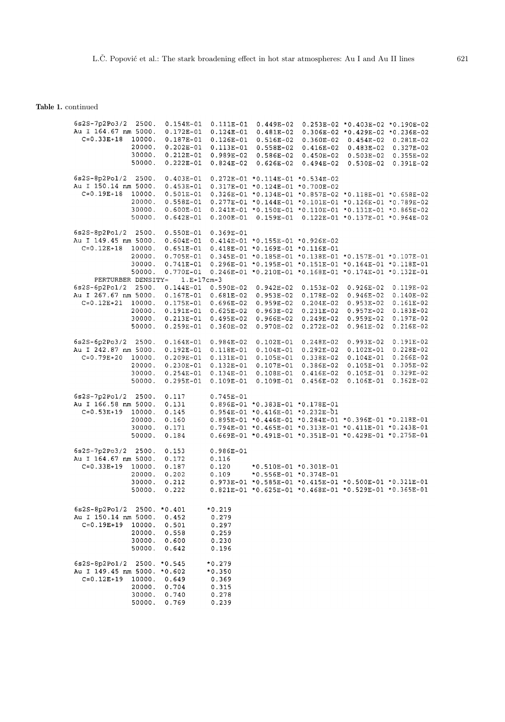**Table 1.** continued

| 6s2S-7p2Po3/2<br>2500.<br>Au I 164.67 nm 5000.<br>$C = 0.33E + 18$<br>10000.<br>20000.<br>30000.<br>50000.   | $0.154E - 01$<br>$0.172E - 01$<br>$0.187E-01$<br>$0.202E - 01$<br>$0.212E-01$<br>$0.222E-01$ | $0.111E-01$<br>$0.124E - 01$<br>$0.126E - 01$<br>$0.113E-01$<br>$0.989E-02$<br>$0.824E - 02$ | $0.449E-02$<br>$0.481E-02$<br>$0.516E-02$<br>$0.558E-02$<br>$0.586E-02$<br>$0.626E-02$                                                                                                                                                                    | $0.360E-02$<br>$0.416E-02$<br>$0.450E-02$<br>$0.494E-02$ | $0.253E-02$ * 0.403E-02 * 0.190E-02<br>$0.306E-02$ * 0.429E-02 * 0.236E-02<br>$0.454E-02$<br>$0.483E-02$<br>$0.503E-02$<br>$0.530E - 02$ | $0.281E-02$<br>$0.327E-02$<br>$0.355E-02$<br>$0.391E-02$ |
|--------------------------------------------------------------------------------------------------------------|----------------------------------------------------------------------------------------------|----------------------------------------------------------------------------------------------|-----------------------------------------------------------------------------------------------------------------------------------------------------------------------------------------------------------------------------------------------------------|----------------------------------------------------------|------------------------------------------------------------------------------------------------------------------------------------------|----------------------------------------------------------|
| $6s2S-8p2Po1/2$<br>2500.<br>Au I 150.14 nm 5000.<br>$C = 0.19E + 18$<br>10000.<br>20000.<br>30000.<br>50000. | $0.403E-01$<br>$0.453E-01$<br>$0.501E-01$<br>$0.558E - 01$<br>$0.600E-01$<br>$0.642E - 01$   | $0.200E-01$                                                                                  | $0.272E-01 * 0.114E-01 * 0.534E-02$<br>$0.317E-01 * 0.124E-01 * 0.700E-02$<br>$0.326E-01$ *0.134E-01 *0.857E-02 *0.118E-01 *0.658E-02<br>$0.277E-01$ *0.144E-01 *0.101E-01 *0.126E-01 *0.789E-02<br>0.241E-01 *0.150E-01 *0.110E-01 *0.131E-01 *0.865E-02 | $0.159E-01$ $0.122E-01$ $*0.137E-01$ $*0.964E-02$        |                                                                                                                                          |                                                          |
| $6s2S-8p2Po1/2$<br>2500.<br>Au I 149.45 nm 5000.<br>$C = 0.12E + 18$<br>10000.<br>20000.<br>30000.<br>50000. | $0.550E-01$<br>$0.604E-01$<br>$0.651E-01$<br>$0.705E - 01$<br>$0.741E - 01$<br>$0.770E - 01$ | $0.369E - 01$                                                                                | $0.414E-01 * 0.155E-01 * 0.926E-02$<br>$0.418E-01 * 0.169E-01 * 0.116E-01$<br>0.345E-01 *0.185E-01 *0.138E-01 *0.157E-01 *0.107E-01<br>$0.296E-01$ *0.195E-01 *0.151E-01 *0.164E-01 *0.118E-01<br>0.246E-01 *0.210E-01 *0.168E-01 *0.174E-01 *0.132E-01   |                                                          |                                                                                                                                          |                                                          |
| PERTURBER DENSITY=<br>$6s2S-6p2Po1/2$<br>2500.                                                               | $1.E+17cm-3$<br>$0.144E-01$                                                                  | $0.590E-02$                                                                                  | $0.942E-02$                                                                                                                                                                                                                                               | $0.153E-02$                                              | 0.926E-02                                                                                                                                | $0.119E-02$                                              |
| Au I 267.67 nm 5000.                                                                                         | $0.167E-01$                                                                                  | $0.681E - 02$                                                                                | $0.953E-02$                                                                                                                                                                                                                                               | $0.178E - 02$                                            | $0.946E-02$                                                                                                                              | $0.140E-02$                                              |
| $C = 0.12E + 21$<br>10000.                                                                                   | $0.175E-01$                                                                                  | $0.696E - 02$                                                                                | $0.959E-02$                                                                                                                                                                                                                                               | $0.204E-02$                                              | $0.953E-02$                                                                                                                              | $0.161E-02$                                              |
| 20000.                                                                                                       | $0.191E-01$                                                                                  | $0.625E-02$                                                                                  | $0.963E-02$                                                                                                                                                                                                                                               | $0.231E-02$                                              | $0.957E-02$                                                                                                                              | $0.183E-02$                                              |
| 30000.                                                                                                       | $0.213E-01$                                                                                  | $0.495E-02$                                                                                  | $0.966E-02$                                                                                                                                                                                                                                               | $0.249E-02$                                              | $0.959E-02$                                                                                                                              | $0.197E-02$                                              |
| 50000.                                                                                                       | $0.259E-01$                                                                                  | $0.360E - 02$                                                                                | $0.970E-02$                                                                                                                                                                                                                                               | $0.272E-02$                                              | $0.961E-02$                                                                                                                              | $0.216E-02$                                              |
| $6s2S-6p2Po3/2$<br>2500.                                                                                     | $0.164E-01$                                                                                  | $0.984E-02$                                                                                  | $0.102E - 01$                                                                                                                                                                                                                                             | $0.248E-02$                                              | $0.993E-02$                                                                                                                              | $0.191E-02$                                              |
| Au I 242.87 nm 5000.                                                                                         | $0.192E-01$                                                                                  | $0.118E - 01$                                                                                | $0.104E - 01$                                                                                                                                                                                                                                             | $0.292E-02$                                              | $0.102E-01$                                                                                                                              | $0.228E-02$                                              |
| $C = 0.79E + 20$<br>10000.                                                                                   | $0.209E-01$                                                                                  | $0.131E - 01$                                                                                | $0.105E - 01$                                                                                                                                                                                                                                             | $0.338E-02$                                              | $0.104E-01$                                                                                                                              | $0.266E-02$                                              |
| 20000.                                                                                                       | $0.230E - 01$                                                                                | $0.132E - 01$                                                                                | $0.107E-01$                                                                                                                                                                                                                                               | 0.386E-02                                                | $0.105E-01$                                                                                                                              | $0.305E - 02$                                            |
| 30000.                                                                                                       | $0.254E - 01$                                                                                | $0.134E - 01$                                                                                | $0.108E - 01$                                                                                                                                                                                                                                             | $0.416E-02$                                              | $0.105E-01$                                                                                                                              | $0.329E-02$                                              |
| 50000.                                                                                                       | $0.295E - 01$                                                                                | $0.109E - 01$                                                                                | $0.109E-01$                                                                                                                                                                                                                                               | $0.456E - 02$                                            | $0.106E-01$                                                                                                                              | $0.362E - 02$                                            |
| $6s2S-7p2Po1/2$<br>2500.                                                                                     | 0.117                                                                                        | $0.745E - 01$                                                                                |                                                                                                                                                                                                                                                           |                                                          |                                                                                                                                          |                                                          |
| Au I 166.58 nm 5000.                                                                                         | 0.131                                                                                        |                                                                                              | 0.896E-01 *0.383E-01 *0.178E-01                                                                                                                                                                                                                           |                                                          |                                                                                                                                          |                                                          |
| $C = 0.53E + 19$<br>10000.                                                                                   | 0.145                                                                                        |                                                                                              | $0.954E-01 * 0.416E-01 * 0.232E-01$                                                                                                                                                                                                                       |                                                          |                                                                                                                                          |                                                          |
| 20000.                                                                                                       | 0.160                                                                                        |                                                                                              | $0.895E-01 * 0.446E-01 * 0.284E-01 * 0.396E-01 * 0.218E-01$                                                                                                                                                                                               |                                                          |                                                                                                                                          |                                                          |
| 30000.                                                                                                       | 0.171                                                                                        |                                                                                              | $0.794E-01 * 0.465E-01 * 0.313E-01 * 0.411E-01 * 0.243E-01$                                                                                                                                                                                               |                                                          |                                                                                                                                          |                                                          |
| 50000.                                                                                                       | 0.184                                                                                        |                                                                                              | 0.669E-01 *0.491E-01 *0.351E-01 *0.429E-01 *0.275E-01                                                                                                                                                                                                     |                                                          |                                                                                                                                          |                                                          |
| $6s2S-7p2Po3/2$<br>2500.                                                                                     | 0.153                                                                                        | $0.986E - 01$                                                                                |                                                                                                                                                                                                                                                           |                                                          |                                                                                                                                          |                                                          |
| Au I 164.67 nm 5000.                                                                                         | 0.172                                                                                        | 0.116                                                                                        |                                                                                                                                                                                                                                                           |                                                          |                                                                                                                                          |                                                          |
| $C = 0.33E + 19$<br>10000.                                                                                   | 0.187                                                                                        | 0.120                                                                                        |                                                                                                                                                                                                                                                           | *0.510E-01 *0.301E-01                                    |                                                                                                                                          |                                                          |
| 20000.                                                                                                       | 0.202                                                                                        | 0.109                                                                                        |                                                                                                                                                                                                                                                           | *0.556E-01 *0.374E-01                                    |                                                                                                                                          |                                                          |
| 30000.                                                                                                       | 0.212                                                                                        |                                                                                              | $0.973E-01$ *0.585E-01 *0.415E-01 *0.500E-01 *0.321E-01                                                                                                                                                                                                   |                                                          |                                                                                                                                          |                                                          |
| 50000.                                                                                                       | 0.222                                                                                        |                                                                                              | 0.821E-01 *0.625E-01 *0.468E-01 *0.529E-01 *0.365E-01                                                                                                                                                                                                     |                                                          |                                                                                                                                          |                                                          |
|                                                                                                              |                                                                                              |                                                                                              |                                                                                                                                                                                                                                                           |                                                          |                                                                                                                                          |                                                          |
| $6s2S-8p2Po1/2$                                                                                              | $2500. *0.401$                                                                               | $*0.219$                                                                                     |                                                                                                                                                                                                                                                           |                                                          |                                                                                                                                          |                                                          |
| Au I 150.14 nm 5000.                                                                                         | 0.452                                                                                        | 0.279                                                                                        |                                                                                                                                                                                                                                                           |                                                          |                                                                                                                                          |                                                          |
| $C = 0.19E + 19$<br>10000.                                                                                   | 0.501                                                                                        | 0.297                                                                                        |                                                                                                                                                                                                                                                           |                                                          |                                                                                                                                          |                                                          |
| 20000.                                                                                                       | 0.558                                                                                        | 0.259                                                                                        |                                                                                                                                                                                                                                                           |                                                          |                                                                                                                                          |                                                          |
| 30000.<br>50000.                                                                                             | 0.600<br>0.642                                                                               | 0.230<br>0.196                                                                               |                                                                                                                                                                                                                                                           |                                                          |                                                                                                                                          |                                                          |
|                                                                                                              |                                                                                              |                                                                                              |                                                                                                                                                                                                                                                           |                                                          |                                                                                                                                          |                                                          |
| $6s2S-8p2Po1/2$<br>2500.                                                                                     | $*0.545$                                                                                     | $*0.279$                                                                                     |                                                                                                                                                                                                                                                           |                                                          |                                                                                                                                          |                                                          |
| Au I 149.45 nm 5000.                                                                                         | $*0.602$                                                                                     | $*0.350$                                                                                     |                                                                                                                                                                                                                                                           |                                                          |                                                                                                                                          |                                                          |
| $C = 0.12E + 19$<br>10000.                                                                                   | 0.649                                                                                        | 0.369                                                                                        |                                                                                                                                                                                                                                                           |                                                          |                                                                                                                                          |                                                          |
| 20000.                                                                                                       | 0.704                                                                                        | 0.315                                                                                        |                                                                                                                                                                                                                                                           |                                                          |                                                                                                                                          |                                                          |
| 30000.                                                                                                       | 0.740                                                                                        | 0.278                                                                                        |                                                                                                                                                                                                                                                           |                                                          |                                                                                                                                          |                                                          |
| 50000.                                                                                                       | 0.769                                                                                        | 0.239                                                                                        |                                                                                                                                                                                                                                                           |                                                          |                                                                                                                                          |                                                          |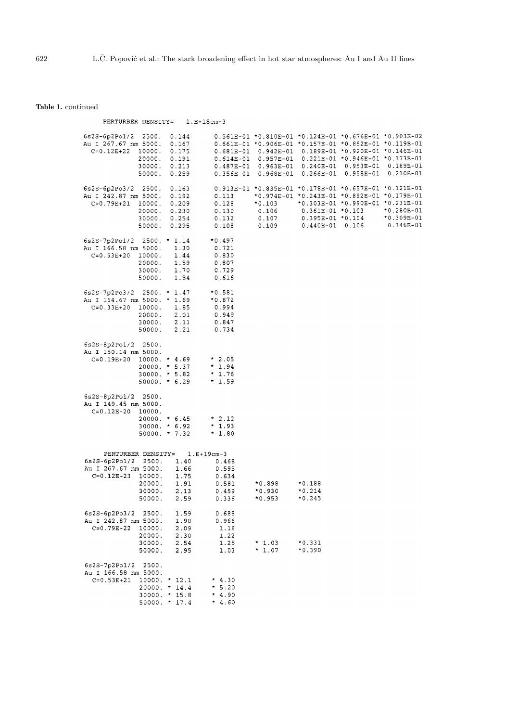**Table 1.** continued

| PERTURBER DENSITY=                                                                                                                                                 | $1.E+18cm-3$                                                                                                       |                                                                                                                                                                                                                                                                                                                            |                                                                                                     |             |                                             |
|--------------------------------------------------------------------------------------------------------------------------------------------------------------------|--------------------------------------------------------------------------------------------------------------------|----------------------------------------------------------------------------------------------------------------------------------------------------------------------------------------------------------------------------------------------------------------------------------------------------------------------------|-----------------------------------------------------------------------------------------------------|-------------|---------------------------------------------|
| $6s2S-6p2Po1/2$<br>2500.<br>0.144<br>Au I 267.67 nm 5000.<br>0.167<br>$C = 0.12E + 22$<br>0.175<br>10000.<br>20000.<br>0.191<br>30000.<br>0.213<br>50000.<br>0.259 |                                                                                                                    | 0.561E-01 *0.810E-01 *0.124E-01 *0.676E-01 *0.903E-02<br>$0.661E-01 * 0.906E-01 * 0.157E-01 * 0.852E-01 * 0.119E-01$<br>$0.681E-01$ 0.942E-01 0.189E-01 *0.920E-01 *0.146E-01<br>$0.614E-01$ 0.957E-01 0.221E-01 *0.946E-01 *0.173E-01<br>$0.487E-01$ 0.963E-01 0.240E-01 0.953E-01<br>$0.356E-01$ $0.968E-01$ $0.266E-01$ |                                                                                                     | $0.958E-01$ | $0.189E-01$<br>$0.210E-01$                  |
| $6s2S-6p2Po3/2 2500.$<br>0.163<br>Au I 242.87 nm 5000.<br>0.192<br>$C=0.79E+21$ 10000.<br>0.209<br>20000.<br>0.230<br>30000. 0.254<br>50000. 0.295                 | 0.113<br>0.128<br>0.130<br>0.132<br>0.108                                                                          | 0.913E-01 *0.835E-01 *0.178E-01 *0.657E-01 *0.121E-01<br>*0.974E-01 *0.243E-01 *0.892E-01 *0.179E-01<br>$*0.103$<br>0.106<br>0.107<br>0.109                                                                                                                                                                                | *0.303E-01 *0.990E-01 *0.231E-01<br>$0.361E-01 * 0.103$<br>$0.395E-01 * 0.104$<br>$0.440E-01$ 0.106 |             | $*0.280E-01$<br>$*0.309E-01$<br>$0.346E-01$ |
| 6s2S-7p2Po1/2 2500. * 1.14<br>Au I 166.58 nm 5000.<br>$C = 0.53E + 20$<br>10000.<br>1.59<br>20000.<br>30000. 1.70<br>50000.                                        | $*0.497$<br>1.30<br>0.721<br>1.44<br>0.830<br>0.807<br>0.729<br>1.84<br>0.616                                      |                                                                                                                                                                                                                                                                                                                            |                                                                                                     |             |                                             |
| $6s2S-7p2Po3/2$ 2500. * 1.47<br>Au I 164.67 nm 5000. * 1.69<br>$C=0.33E+20$ 10000.<br>20000. 2.01<br>2.11<br>30000.<br>50000.                                      | $*0.581$<br>$*0.872$<br>1.85<br>0.994<br>0.949<br>0.847<br>2.21<br>0.734                                           |                                                                                                                                                                                                                                                                                                                            |                                                                                                     |             |                                             |
| 6s2S-8p2Po1/2 2500.<br>Au I 150.14 nm 5000.<br>$C=0.19E+20$ 10000. * 4.69<br>$20000. * 5.37$<br>$30000. * 5.82$<br>$50000. * 6.29$                                 | $*2.05$<br>$*1.94$<br>$*1.76$<br>$*1.59$                                                                           |                                                                                                                                                                                                                                                                                                                            |                                                                                                     |             |                                             |
| 6s2S-8p2Po1/2 2500.<br>Au I 149.45 nm 5000.<br>$C = 0.12E + 20$<br>10000.<br>$20000. * 6.45$<br>$30000. * 6.92$<br>$50000. * 7.32$                                 | $*2.12$<br>$*1.93$<br>$*1.80$                                                                                      |                                                                                                                                                                                                                                                                                                                            |                                                                                                     |             |                                             |
| PERTURBER DENSITY=<br>6s2S-6p2Pol/2 2500.<br>Au I 267.67 nm 5000.<br>$C = 0.12E + 23$<br>10000.<br>20000.<br>30000.<br>50000.                                      | $1.E+19cm-3$<br>1.40<br>0.468<br>1.66<br>0.595<br>1.75<br>0.634<br>1.91<br>0.581<br>2.13<br>0.459<br>2.59<br>0.336 | *0.898<br>$*0.930$<br>$*0.953$                                                                                                                                                                                                                                                                                             | *0.188<br>$*0.214$<br>*0.245                                                                        |             |                                             |
| $6s2S-6p2Po3/2$<br>2500.<br>Au I 242.87 nm 5000.<br>$C = 0.79E + 22$<br>10000.<br>20000.<br>30000.<br>50000.                                                       | 1.59<br>0.688<br>1.90<br>0.966<br>2.09<br>1.16<br>2.30<br>1.22<br>2.54<br>1.25<br>2.95<br>1.03                     | $*1.03$<br>$*1.07$                                                                                                                                                                                                                                                                                                         | *0.331<br>$*0.390$                                                                                  |             |                                             |
| $6s2S-7p2Po1/2$<br>2500.<br>Au I 166.58 nm 5000.<br>$C = 0.53E + 21$<br>$10000. * 12.1$<br>20000. * 14.4<br>$30000. * 15.8$<br>$50000. * 17.4$                     | $*4.30$<br>$* 5.20$<br>$*4.90$<br>$*4.60$                                                                          |                                                                                                                                                                                                                                                                                                                            |                                                                                                     |             |                                             |